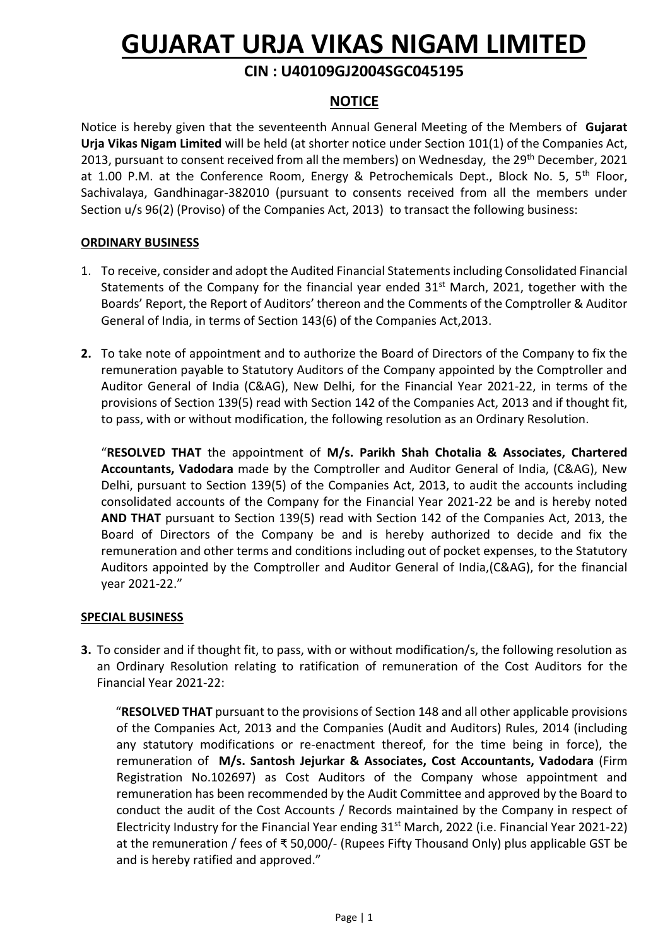# **GUJARAT URJA VIKAS NIGAM LIMITED**

# **CIN : U40109GJ2004SGC045195**

# **NOTICE**

Notice is hereby given that the seventeenth Annual General Meeting of the Members of **Gujarat Urja Vikas Nigam Limited** will be held (at shorter notice under Section 101(1) of the Companies Act, 2013, pursuant to consent received from all the members) on Wednesday, the 29<sup>th</sup> December, 2021 at 1.00 P.M. at the Conference Room, Energy & Petrochemicals Dept., Block No. 5, 5<sup>th</sup> Floor, Sachivalaya, Gandhinagar-382010 (pursuant to consents received from all the members under Section u/s 96(2) (Proviso) of the Companies Act, 2013) to transact the following business:

# **ORDINARY BUSINESS**

- 1. To receive, consider and adopt the Audited Financial Statements including Consolidated Financial Statements of the Company for the financial year ended  $31<sup>st</sup>$  March, 2021, together with the Boards' Report, the Report of Auditors' thereon and the Comments of the Comptroller & Auditor General of India, in terms of Section 143(6) of the Companies Act,2013.
- **2.** To take note of appointment and to authorize the Board of Directors of the Company to fix the remuneration payable to Statutory Auditors of the Company appointed by the Comptroller and Auditor General of India (C&AG), New Delhi, for the Financial Year 2021-22, in terms of the provisions of Section 139(5) read with Section 142 of the Companies Act, 2013 and if thought fit, to pass, with or without modification, the following resolution as an Ordinary Resolution.

"**RESOLVED THAT** the appointment of **M/s. Parikh Shah Chotalia & Associates, Chartered Accountants, Vadodara** made by the Comptroller and Auditor General of India, (C&AG), New Delhi, pursuant to Section 139(5) of the Companies Act, 2013, to audit the accounts including consolidated accounts of the Company for the Financial Year 2021-22 be and is hereby noted **AND THAT** pursuant to Section 139(5) read with Section 142 of the Companies Act, 2013, the Board of Directors of the Company be and is hereby authorized to decide and fix the remuneration and other terms and conditions including out of pocket expenses, to the Statutory Auditors appointed by the Comptroller and Auditor General of India,(C&AG), for the financial year 2021-22."

#### **SPECIAL BUSINESS**

**3.** To consider and if thought fit, to pass, with or without modification/s, the following resolution as an Ordinary Resolution relating to ratification of remuneration of the Cost Auditors for the Financial Year 2021-22:

"**RESOLVED THAT** pursuant to the provisions of Section 148 and all other applicable provisions of the Companies Act, 2013 and the Companies (Audit and Auditors) Rules, 2014 (including any statutory modifications or re-enactment thereof, for the time being in force), the remuneration of **M/s. Santosh Jejurkar & Associates, Cost Accountants, Vadodara** (Firm Registration No.102697) as Cost Auditors of the Company whose appointment and remuneration has been recommended by the Audit Committee and approved by the Board to conduct the audit of the Cost Accounts / Records maintained by the Company in respect of Electricity Industry for the Financial Year ending 31<sup>st</sup> March, 2022 (i.e. Financial Year 2021-22) at the remuneration / fees of ₹ 50,000/- (Rupees Fifty Thousand Only) plus applicable GST be and is hereby ratified and approved."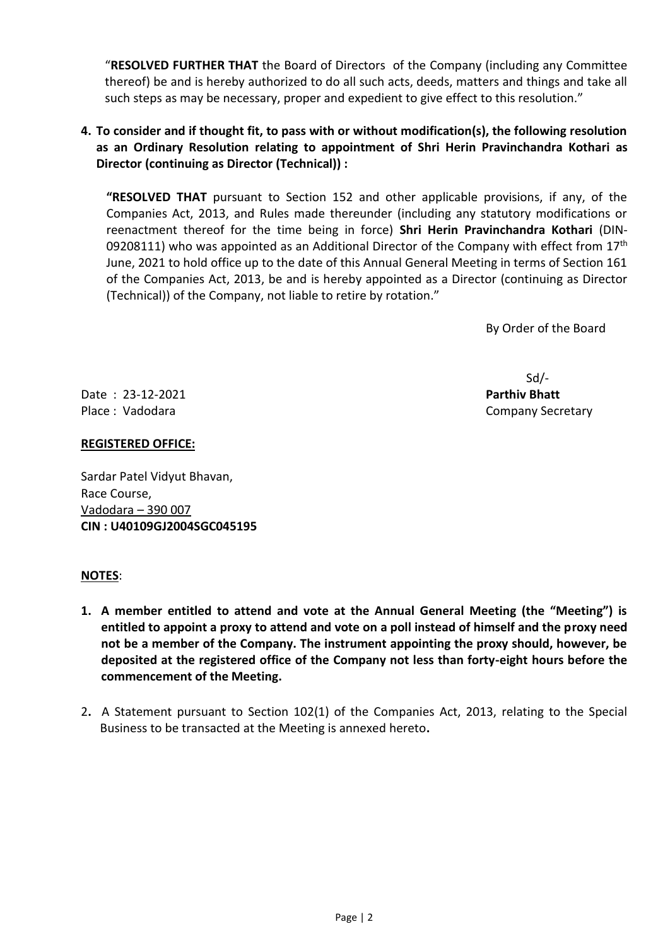"**RESOLVED FURTHER THAT** the Board of Directors of the Company (including any Committee thereof) be and is hereby authorized to do all such acts, deeds, matters and things and take all such steps as may be necessary, proper and expedient to give effect to this resolution."

# **4. To consider and if thought fit, to pass with or without modification(s), the following resolution as an Ordinary Resolution relating to appointment of Shri Herin Pravinchandra Kothari as Director (continuing as Director (Technical)) :**

**"RESOLVED THAT** pursuant to Section 152 and other applicable provisions, if any, of the Companies Act, 2013, and Rules made thereunder (including any statutory modifications or reenactment thereof for the time being in force) **Shri Herin Pravinchandra Kothari** (DIN-09208111) who was appointed as an Additional Director of the Company with effect from  $17^{\text{th}}$ June, 2021 to hold office up to the date of this Annual General Meeting in terms of Section 161 of the Companies Act, 2013, be and is hereby appointed as a Director (continuing as Director (Technical)) of the Company, not liable to retire by rotation."

By Order of the Board

Date : 23-12-2021 **Parthiv Bhatt** Place : Vadodara Company Secretary

# **REGISTERED OFFICE:**

Sardar Patel Vidyut Bhavan, Race Course, Vadodara – 390 007 **CIN : U40109GJ2004SGC045195**

#### **NOTES**:

- **1. A member entitled to attend and vote at the Annual General Meeting (the "Meeting") is entitled to appoint a proxy to attend and vote on a poll instead of himself and the proxy need not be a member of the Company. The instrument appointing the proxy should, however, be deposited at the registered office of the Company not less than forty-eight hours before the commencement of the Meeting.**
- 2**.** A Statement pursuant to Section 102(1) of the Companies Act, 2013, relating to the Special Business to be transacted at the Meeting is annexed hereto**.**

Sd/-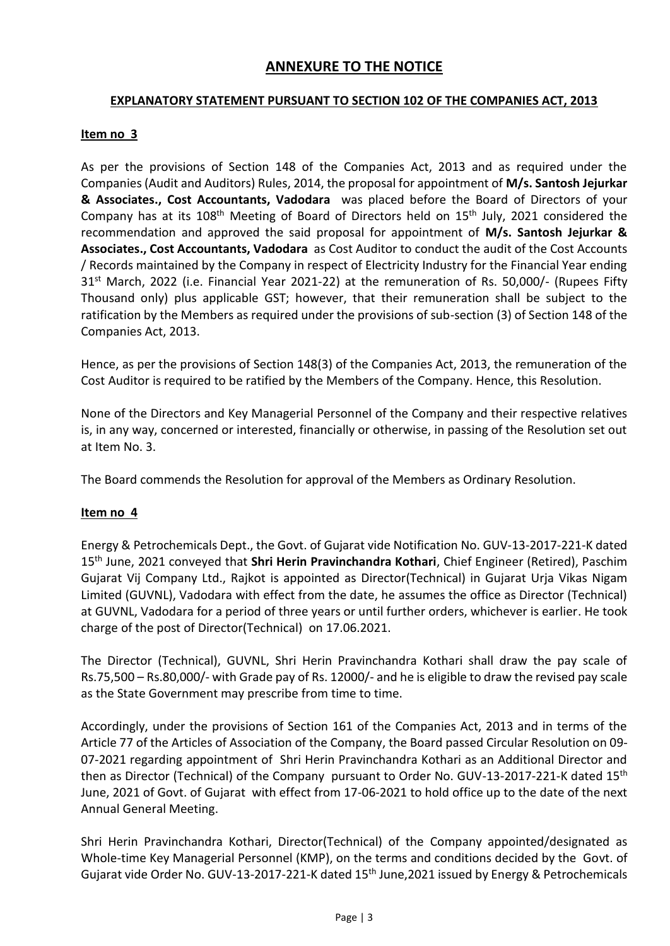# **ANNEXURE TO THE NOTICE**

# **EXPLANATORY STATEMENT PURSUANT TO SECTION 102 OF THE COMPANIES ACT, 2013**

# **Item no 3**

As per the provisions of Section 148 of the Companies Act, 2013 and as required under the Companies (Audit and Auditors) Rules, 2014, the proposal for appointment of **M/s. Santosh Jejurkar & Associates., Cost Accountants, Vadodara** was placed before the Board of Directors of your Company has at its  $108<sup>th</sup>$  Meeting of Board of Directors held on  $15<sup>th</sup>$  July, 2021 considered the recommendation and approved the said proposal for appointment of **M/s. Santosh Jejurkar & Associates., Cost Accountants, Vadodara** as Cost Auditor to conduct the audit of the Cost Accounts / Records maintained by the Company in respect of Electricity Industry for the Financial Year ending 31<sup>st</sup> March, 2022 (i.e. Financial Year 2021-22) at the remuneration of Rs. 50,000/- (Rupees Fifty Thousand only) plus applicable GST; however, that their remuneration shall be subject to the ratification by the Members as required under the provisions of sub-section (3) of Section 148 of the Companies Act, 2013.

Hence, as per the provisions of Section 148(3) of the Companies Act, 2013, the remuneration of the Cost Auditor is required to be ratified by the Members of the Company. Hence, this Resolution.

None of the Directors and Key Managerial Personnel of the Company and their respective relatives is, in any way, concerned or interested, financially or otherwise, in passing of the Resolution set out at Item No. 3.

The Board commends the Resolution for approval of the Members as Ordinary Resolution.

# **Item no 4**

Energy & Petrochemicals Dept., the Govt. of Gujarat vide Notification No. GUV-13-2017-221-K dated 15th June, 2021 conveyed that **Shri Herin Pravinchandra Kothari**, Chief Engineer (Retired), Paschim Gujarat Vij Company Ltd., Rajkot is appointed as Director(Technical) in Gujarat Urja Vikas Nigam Limited (GUVNL), Vadodara with effect from the date, he assumes the office as Director (Technical) at GUVNL, Vadodara for a period of three years or until further orders, whichever is earlier. He took charge of the post of Director(Technical) on 17.06.2021.

The Director (Technical), GUVNL, Shri Herin Pravinchandra Kothari shall draw the pay scale of Rs.75,500 – Rs.80,000/- with Grade pay of Rs. 12000/- and he is eligible to draw the revised pay scale as the State Government may prescribe from time to time.

 Accordingly, under the provisions of Section 161 of the Companies Act, 2013 and in terms of the Article 77 of the Articles of Association of the Company, the Board passed Circular Resolution on 09- 07-2021 regarding appointment of Shri Herin Pravinchandra Kothari as an Additional Director and then as Director (Technical) of the Company pursuant to Order No. GUV-13-2017-221-K dated 15<sup>th</sup> June, 2021 of Govt. of Gujarat with effect from 17-06-2021 to hold office up to the date of the next Annual General Meeting.

 Shri Herin Pravinchandra Kothari, Director(Technical) of the Company appointed/designated as Whole-time Key Managerial Personnel (KMP), on the terms and conditions decided by the Govt. of Gujarat vide Order No. GUV-13-2017-221-K dated 15<sup>th</sup> June, 2021 issued by Energy & Petrochemicals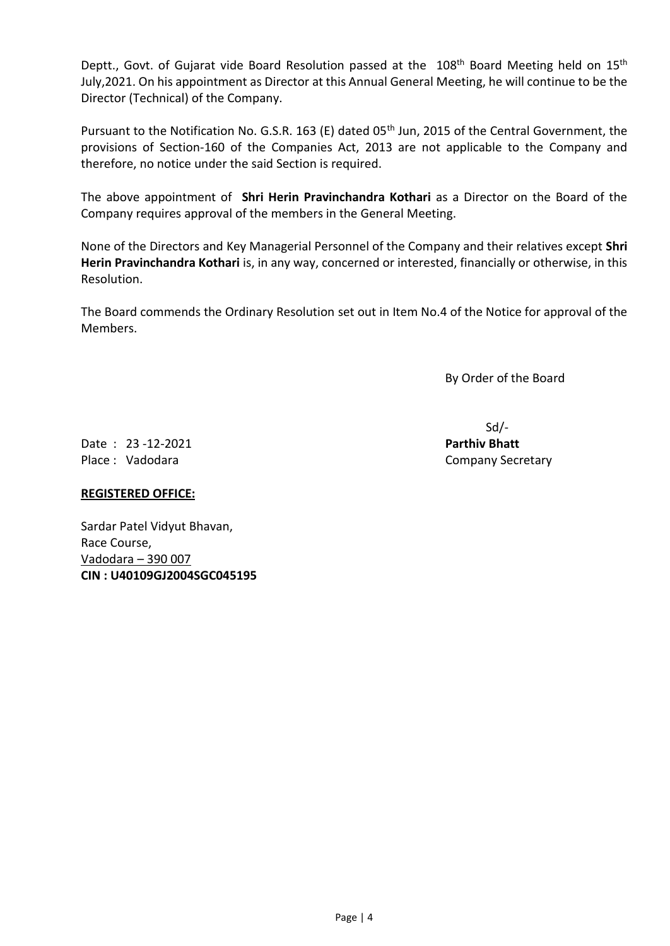Deptt., Govt. of Gujarat vide Board Resolution passed at the 108<sup>th</sup> Board Meeting held on 15<sup>th</sup> July,2021. On his appointment as Director at this Annual General Meeting, he will continue to be the Director (Technical) of the Company.

Pursuant to the Notification No. G.S.R. 163 (E) dated 05<sup>th</sup> Jun, 2015 of the Central Government, the provisions of Section-160 of the Companies Act, 2013 are not applicable to the Company and therefore, no notice under the said Section is required.

The above appointment of **Shri Herin Pravinchandra Kothari** as a Director on the Board of the Company requires approval of the members in the General Meeting.

None of the Directors and Key Managerial Personnel of the Company and their relatives except **Shri Herin Pravinchandra Kothari** is, in any way, concerned or interested, financially or otherwise, in this Resolution.

The Board commends the Ordinary Resolution set out in Item No.4 of the Notice for approval of the Members.

By Order of the Board

Date : 23 -12-2021 **Parthiv Bhatt** Place : Vadodara Company Secretary

Sd/-

# **REGISTERED OFFICE:**

Sardar Patel Vidyut Bhavan, Race Course, Vadodara – 390 007 **CIN : U40109GJ2004SGC045195**